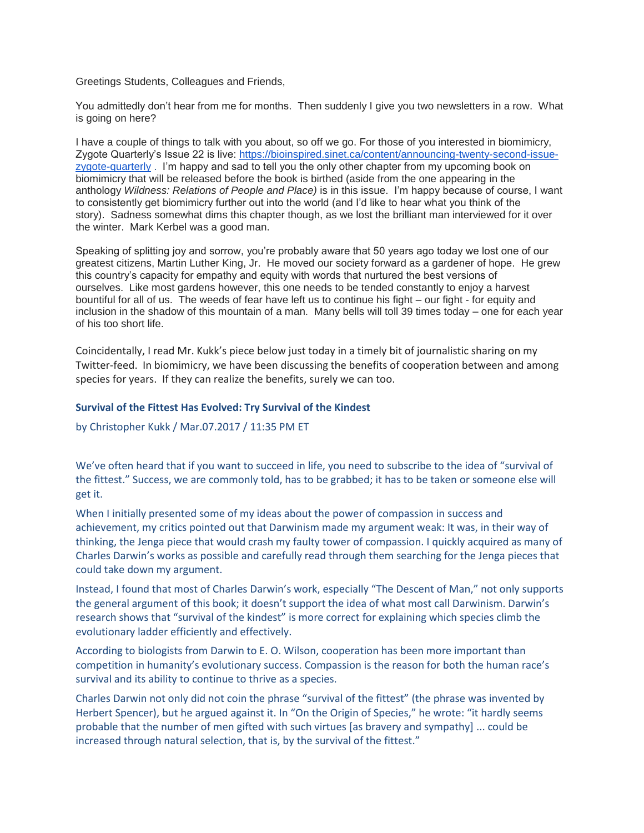Greetings Students, Colleagues and Friends,

You admittedly don't hear from me for months. Then suddenly I give you two newsletters in a row. What is going on here?

I have a couple of things to talk with you about, so off we go. For those of you interested in biomimicry, Zygote Quarterly's Issue 22 is live: [https://bioinspired.sinet.ca/content/announcing-twenty-second-issue](https://bioinspired.sinet.ca/content/announcing-twenty-second-issue-zygote-quarterly)[zygote-quarterly](https://bioinspired.sinet.ca/content/announcing-twenty-second-issue-zygote-quarterly) . I'm happy and sad to tell you the only other chapter from my upcoming book on biomimicry that will be released before the book is birthed (aside from the one appearing in the anthology *Wildness: Relations of People and Place)* is in this issue. I'm happy because of course, I want to consistently get biomimicry further out into the world (and I'd like to hear what you think of the story). Sadness somewhat dims this chapter though, as we lost the brilliant man interviewed for it over the winter. Mark Kerbel was a good man.

Speaking of splitting joy and sorrow, you're probably aware that 50 years ago today we lost one of our greatest citizens, Martin Luther King, Jr. He moved our society forward as a gardener of hope. He grew this country's capacity for empathy and equity with words that nurtured the best versions of ourselves. Like most gardens however, this one needs to be tended constantly to enjoy a harvest bountiful for all of us. The weeds of fear have left us to continue his fight – our fight - for equity and inclusion in the shadow of this mountain of a man. Many bells will toll 39 times today – one for each year of his too short life.

Coincidentally, I read Mr. Kukk's piece below just today in a timely bit of journalistic sharing on my Twitter-feed. In biomimicry, we have been discussing the benefits of cooperation between and among species for years. If they can realize the benefits, surely we can too.

## **Survival of the Fittest Has Evolved: Try Survival of the Kindest**

by Christopher Kukk / Mar.07.2017 / 11:35 PM ET

We've often heard that if you want to succeed in life, you need to subscribe to the idea of "survival of the fittest." Success, we are commonly told, has to be grabbed; it has to be taken or someone else will get it.

When I initially presented some of my ideas about the power of compassion in success and achievement, my critics pointed out that Darwinism made my argument weak: It was, in their way of thinking, the Jenga piece that would crash my faulty tower of compassion. I quickly acquired as many of Charles Darwin's works as possible and carefully read through them searching for the Jenga pieces that could take down my argument.

Instead, I found that most of Charles Darwin's work, especially "The Descent of Man," not only supports the general argument of this book; it doesn't support the idea of what most call Darwinism. Darwin's research shows that "survival of the kindest" is more correct for explaining which species climb the evolutionary ladder efficiently and effectively.

According to biologists from Darwin to E. O. Wilson, cooperation has been more important than competition in humanity's evolutionary success. Compassion is the reason for both the human race's survival and its ability to continue to thrive as a species.

Charles Darwin not only did not coin the phrase "survival of the fittest" (the phrase was invented by Herbert Spencer), but he argued against it. In "On the Origin of Species," he wrote: "it hardly seems probable that the number of men gifted with such virtues [as bravery and sympathy] ... could be increased through natural selection, that is, by the survival of the fittest."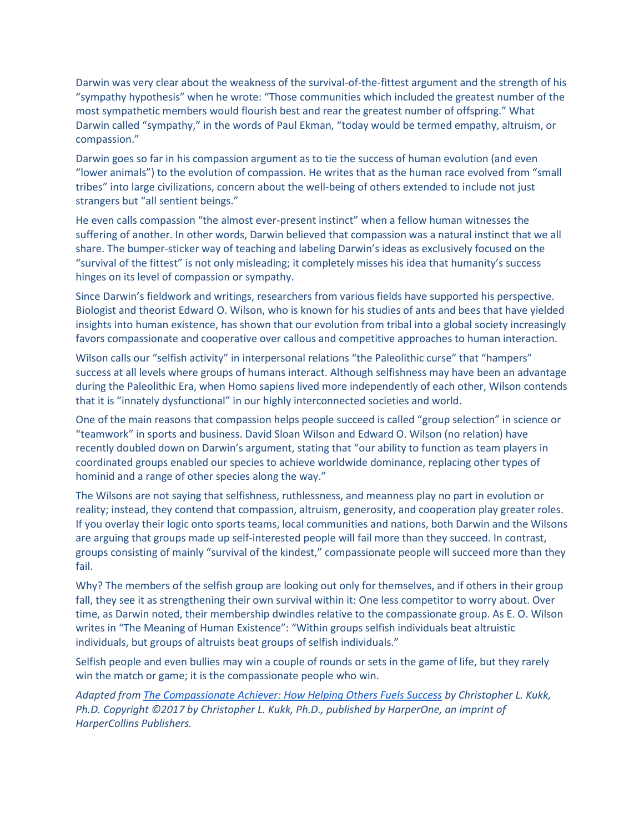Darwin was very clear about the weakness of the survival-of-the-fittest argument and the strength of his "sympathy hypothesis" when he wrote: "Those communities which included the greatest number of the most sympathetic members would flourish best and rear the greatest number of offspring." What Darwin called "sympathy," in the words of Paul Ekman, "today would be termed empathy, altruism, or compassion."

Darwin goes so far in his compassion argument as to tie the success of human evolution (and even "lower animals") to the evolution of compassion. He writes that as the human race evolved from "small tribes" into large civilizations, concern about the well-being of others extended to include not just strangers but "all sentient beings."

He even calls compassion "the almost ever-present instinct" when a fellow human witnesses the suffering of another. In other words, Darwin believed that compassion was a natural instinct that we all share. The bumper-sticker way of teaching and labeling Darwin's ideas as exclusively focused on the "survival of the fittest" is not only misleading; it completely misses his idea that humanity's success hinges on its level of compassion or sympathy.

Since Darwin's fieldwork and writings, researchers from various fields have supported his perspective. Biologist and theorist Edward O. Wilson, who is known for his studies of ants and bees that have yielded insights into human existence, has shown that our evolution from tribal into a global society increasingly favors compassionate and cooperative over callous and competitive approaches to human interaction.

Wilson calls our "selfish activity" in interpersonal relations "the Paleolithic curse" that "hampers" success at all levels where groups of humans interact. Although selfishness may have been an advantage during the Paleolithic Era, when Homo sapiens lived more independently of each other, Wilson contends that it is "innately dysfunctional" in our highly interconnected societies and world.

One of the main reasons that compassion helps people succeed is called "group selection" in science or "teamwork" in sports and business. David Sloan Wilson and Edward O. Wilson (no relation) have recently doubled down on Darwin's argument, stating that "our ability to function as team players in coordinated groups enabled our species to achieve worldwide dominance, replacing other types of hominid and a range of other species along the way."

The Wilsons are not saying that selfishness, ruthlessness, and meanness play no part in evolution or reality; instead, they contend that compassion, altruism, generosity, and cooperation play greater roles. If you overlay their logic onto sports teams, local communities and nations, both Darwin and the Wilsons are arguing that groups made up self-interested people will fail more than they succeed. In contrast, groups consisting of mainly "survival of the kindest," compassionate people will succeed more than they fail.

Why? The members of the selfish group are looking out only for themselves, and if others in their group fall, they see it as strengthening their own survival within it: One less competitor to worry about. Over time, as Darwin noted, their membership dwindles relative to the compassionate group. As E. O. Wilson writes in "The Meaning of Human Existence": "Within groups selfish individuals beat altruistic individuals, but groups of altruists beat groups of selfish individuals."

Selfish people and even bullies may win a couple of rounds or sets in the game of life, but they rarely win the match or game; it is the compassionate people who win.

*Adapted from [The Compassionate Achiever: How Helping Others Fuels Success](http://chriskukk.com/the-compassionate-achiever) by Christopher L. Kukk, Ph.D. Copyright ©2017 by Christopher L. Kukk, Ph.D., published by HarperOne, an imprint of HarperCollins Publishers.*